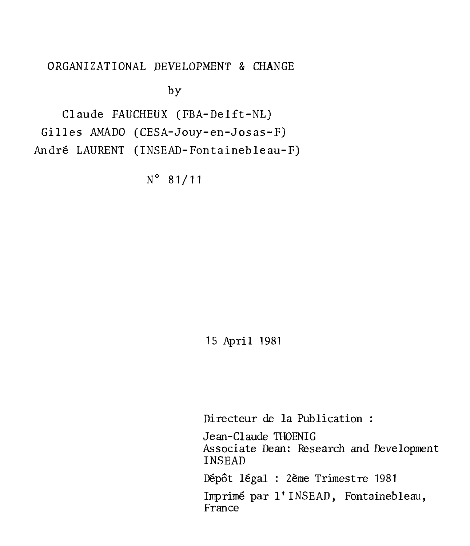# ORGANIZATIONAL DEVELOPMENT & CHANGE

by

Claude FAUCHEUX (FBA-Delft-NL) Gilles AMADO (CESA-Jouy-en-Josas-F) André LAURENT (INSEAD-Fontainebleau-F)

N° 81/11

15 April 1981

Directeur de la Publication : Jean-Claude THOENIG Associate Dean: Research and Development INSEAD Dépôt légal : 2ème Trimestre 1981 Imprimé par 1' INSEAD, Fontainebleau, France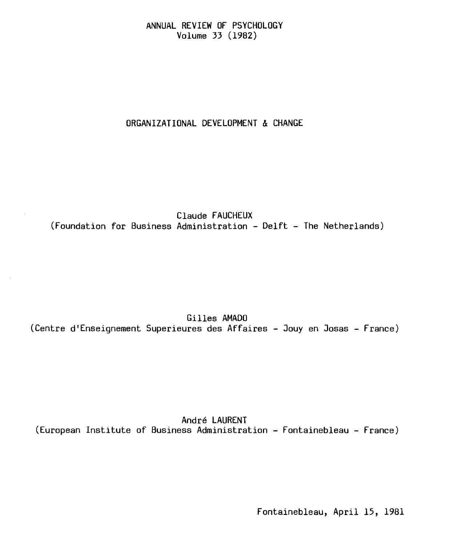ANNUAL REVIEW OF PSYCHOLOGY Volume 33 (1982)

## ORGANIZATIONAL DEVELOPMENT & CHANGE

Claude FAUCHEUX (Foundation for Business Administration - Delft - The Netherlands)

Gilles AMADO (Centre d'Enseignement Superieures des Affaires - Jouy en Josas - France)

André LAURENT (European Institute of Business Administration - Fontainebleau - France)

Fontainebleau, April 15, 1981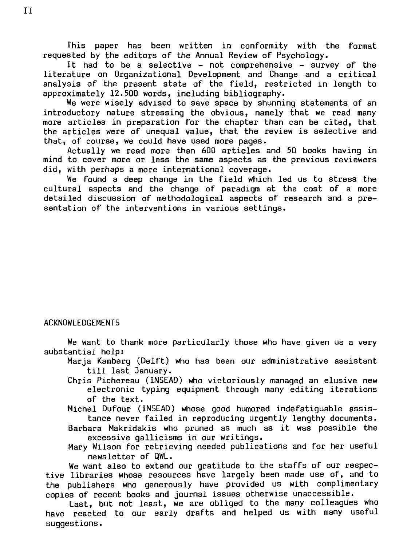This payer has been written in conformity with the format requested by the editors of the Annual Review of Psychology.

It had to be a selective - not comprehensive - survey of the literature on Organizational Development and Change and a critical analysis of the present state of the field, restricted in length to approximately 12.500 words, including bibliography.

We were wisely advised to save space by shunning statements of an introductory nature stressing the obvious, namely that we read many more articles in preparation for the chapter than can be cited, that the articles were of unequal value, that the review is selective and that, of course, we could have used more pages.

Actually we read more than 600 articles and 50 books having in mind to cover more or less the same aspects as the previous reviewers did, with perhaps a more international coverage.

We found a deep change in the field which led us to stress the cultural aspects and the change of paradigm at the cost of a more detailed discussion of methodological aspects of research and a presentation of the interventions in various settings.

## ACKNOWLEDGEMENTS

We want to thank more particularly those who have given us a very substantial help:

- Marja Kamberg (Delft) who has been our administrative assistant till last January.
- Chris Pichereau (INSEAD) who victoriously managed an elusive new electronic typing equipment through many editing iterations of the text.
- Michel Dufour (INSEAD) whose good humored indefatiguable assistance never failed in reproducing urgently lengthy documents. Barbara Makridakis who pruned as much as it was possible the excessive gallicisms in our writings.
- Mary Wilson for retrieving needed publications and for her useful newsletter of QWL.

We want also to extend our gratitude to the staffs of our respective libraries whose resources have largely been made use of, and to the publishers who generously have provided us with complimentary copies of recent books and journal issues otherwise unaccessible.

Last, but not least, we are obliged to the many colleagues who have reacted to our early drafts and helped us with many useful suggestions.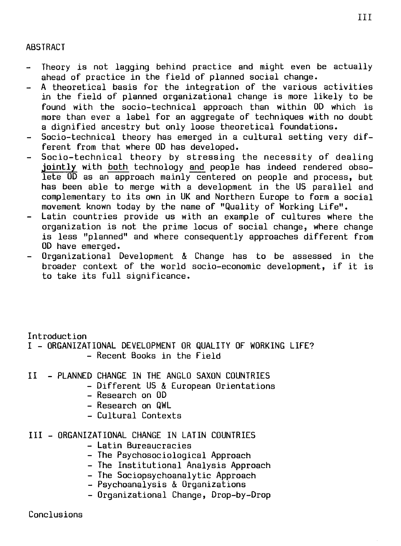## ABSTRACT

- Theory is not lagging behind practice and might even be actually ahead of practice in the field of planned social change.
- A theoretical basis for the integration of the various activities in the field of planned organizational change is more likely to be found with the socio-technical approach than within OD which is more than ever a label for an aggregate of techniques with no doubt a dignified ancestry but only loose theoretical foundations.
- Socio-technical theory has emerged in a cultural setting very different from that where OD has developed.
- Socio-technical theory by stressing the necessity of dealing **jointly** with **both** technology and people has indeed rendered obsolete OD as an approach mainly centered on people and process, but has been able to merge with a development in the US parallel and complementary to its own in UK and Northern Europe to form a social movement known today by the name of "Quality of Working Life".
- Latin countries provide us with an example of cultures where the organization is not the prime locus of social change, where change is less "planned" and where consequently approaches different from OD have emerged.
- Organizational Development & Change has to be assessed in the broader context of the world socio-economic development, if it is to take its full significance.

Introduction

- I ORGANIZATIONAL DEVELOPMENT OR QUALITY OF WORKING LIFE? - Recent Books in the Field
- II PLANNED CHANGE IN THE ANGLO SAXON COUNTRIES
	- Different US & European Orientations
	- Research on OD
	- Research on QWL
	- Cultural Contexts
- III ORGANIZATIONAL CHANGE IN LATIN COUNTRIES
	- Latin Bureaucracies
	- The Psychosociological Approach
	- The Institutional Analysis Approach
	- The Sociopsychoanalytic Approach
	- Psychoanalysis & Organizations
	- Organizational Change, Drop-by-Drop

Conclusions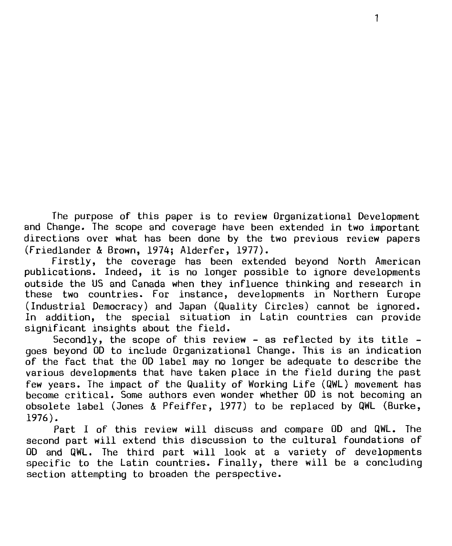The purpose of this paper is to review Organizational Development and Change. The scope and coverage have been extended in two important directions over what has been done by the two previous review papers (Friedlander & Brown, 1974; Alderfer, 1977).

Firstly, the coverage has been extended beyond North American publications. Indeed, it is no longer possible to ignore developments outside the US and Canada when they influence thinking and research in these two countries. For instance, developments in Northern Europe (Industrial Democracy) and Japan (Quality Circles) cannot be ignored. In addition, the special situation in Latin countries can provide significant insights about the field.

Secondly, the scope of this review - as reflected by its title goes beyond OD to include Organizational Change. This is an indication of the fact that the OD label may no longer be adequate to describe the various developments that have taken place in the field during the past few years. The impact of the Quality of Working Life (QWL) movement has become critical. Some authors even wonder whether OD is not becoming an obsolete label (Jones & Pfeiffer, 1977) to be replaced by QWL (Burke, 1976).

Part I of this review will discuss and compare OD and QWL. The second part will extend this discussion to the cultural foundations of OD and QWL. The third part will look at a variety of developments specific to the Latin countries. Finally, there will be a concluding section attempting to broaden the perspective.

1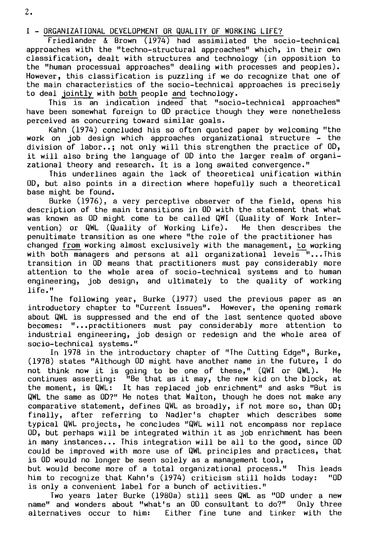I - ORGANIZATIONAL DEVELOPMENT OR QUALITY OF WORKING LIFE?

Friedlander & Brown (1974) had assimilated the socio-technical approaches with the "techno-structural approaches" which, in their own classification, dealt with structures and technology (in opposition to the "human processual approaches" dealing with processes and peoples). However, this classification is puzzling if we do recognize that one of the main characteristics of the socio-technical approaches is precisely to deal jointly with both people and technology.

This is an indication indeed that "socio-technical approaches" have been somewhat foreign to OD practice though they were nonetheless perceived as concurring toward similar goals.

Kahn (1974) concluded his so often quoted paper by welcoming "the work on job design which approaches organizational structure - the division of labor..; not only will this strengthen the practice of OD, it will also bring the language of OD into the larger realm of organizational theory and research. It is a long awaited convergence."

This underlines again the lack of theoretical unification within OD, but also points in a direction where hopefully such a theoretical base might be found.

Burke (1976), a very perceptive observer of the field, opens his description of the main transitions in OD with the statement that what was known as OD might come to be called QWI (Quality of Work Intervention) or QWL (Quality of Working Life). He then describes the penultimate transition as one where "the role of the practitioner has changed from working almost exclusively with the management, to working with both managers and persons at all organizational levels "...This transition in OD means that practitioners must pay considerably more attention to the whole area of socio-technical systems and to human engineering, job design, and ultimately to the quality of working life."

The following year, Burke (1977) used the previous paper as an introductory chapter to "Current Issues". However, the opening remark about QWL is suppressed and the end of the last sentence quoted above becomes: "...practitioners must pay considerably more attention to industrial engineering, job design or redesign and the whole area of socio-technical systems."

In 1978 in the introductory chapter of "The Cutting Edge", Burke, (1978) states "Although OD might have another name in the future, I do not think now it is going to be one of these," (QWI or QWL). He continues asserting: "Be that as it may, the new kid on the block, at the moment, is QWL: It has replaced job enrichment" and asks "But is QWL the same as OD?" He notes that Walton, though he does not make any comparative statement, defines QWL as broadly, if not more so, than OD; finally, after referring to Nadler's chapter which describes some typical QWL projects, he concludes "QWL will not encompass nor replace OD, but perhaps will be integrated within it as job enrichment has been in many instances... This integration will be all to the good, since  $0D$ could be improved with more use of QWL principles and practices, that is OD would no longer be seen solely as a management tool,

but would become more of a total organizational process." This leads him to recognize that Kahn's (1974) criticism still holds today: "OD is only a convenient label for a bunch of activities."

Two years later Burke (1980a) still sees QWL as "OD under a new name" and wonders about "what's an OD consultant to do?" Only three alternatives occur to him: Either fine tune and tinker with the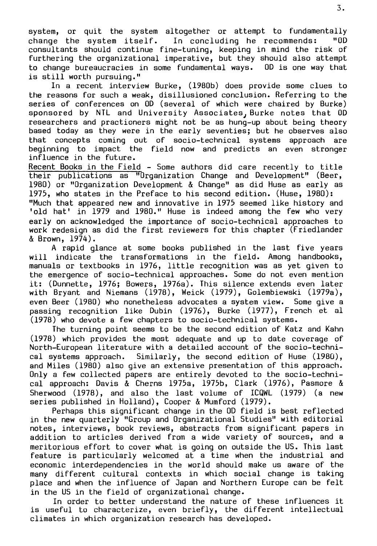system, or quit the system altogether or attempt to fundamentally change the system itself. In concluding he recommends: "OD consultants should continue fine-tuning, keeping in mind the risk of furthering the organizational imperative, but they should also attempt to change bureaucracies in some fundamental ways. OD is one way that is still worth pursuing."

In a recent interview Burke, (1980b) does provide some Glues to the reasons for such a weak, disillusioned conclusion. Referring to the series of conferences on OD (several of which were chaired by Burke) sponsored by NTL and University Associates, Burke notes that OD researchers and practioners might not be as hung-up about being theory based today as they were in the early seventies; but he observes also that concepts coming out of socio-technical systems approach are beginning to impact the field now and predicts an even stronger influence in the future.

Recent Books in the Field - Some authors did care recently to title their publications as "Organization Change and Development" (Beer, 1980) or "Organization Development & Change" as did Huse as early as 1975, who states in the Preface to his second edition. (Huse, 1980): "Much that appeared new and innovative in 1975 seemed like history and 'old hat' in 1979 and 1980." Huse is indeed among the few who very early on acknowledged the importance of socio-technical approaches to work redesign as did the first reviewers for this chapter (Friedlander & Brown, 1974).

A rapid glance at some books published in the last five years will indicate the transformations in the field. Among handbooks, manuals or textbooks in 1976, little recognition was as yet given to the emergence of socio-technical approaches. Some do not even mention it: (Dunnette, 1976; Bowers, 1976a). This silence extends even later with Bryant and Niemans (1978), Weick (1979), Golembiewski (1979a), even Beer (1980) who nonetheless advocates a system view. Some give a passing recognition like Dubin (1976), Burke (1977), French et al (1978) who devote a few chapters to socio-technical systems.

The turning point seems to be the second edition of Katz and Kahn (1978) which provides the most adequate and up to date coverage of North-European literature with a detailed account of the socio-technical systems approach. Similarly, the second edition of Huse (1980), and Miles (1980) also give an extensive presentation of this approach. Only a few collected papers are entirely devoted to the socio-technical approach: Davis & Cherns 1975a, 1975b, Clark (1976), Pasmore & Sherwood (1978), and also the last volume of ICQWL (1979) (a new series published in Holland), Cooper & Mumford (1979).

Perhaps this significant change in the OD field is best reflected in the new quarterly "Group and Organizational Studies" with editorial notes, interviews, book reviews, abstracts from significant papers in addition to articles derived from a wide variety of sources, and a meritorious effort to cover what is going on outside the US. This last feature is particularly welcomed at a time when the industrial and economic interdependencies in the world should make us aware of the many different cultural contexts in which social change is taking place and when the influence of Japan and Northern Europe can be felt in the US in the field of organizational change.

In order to better understand the nature of these influences it is useful to characterize, even briefly, the different intellectual climates in which organization research has developed.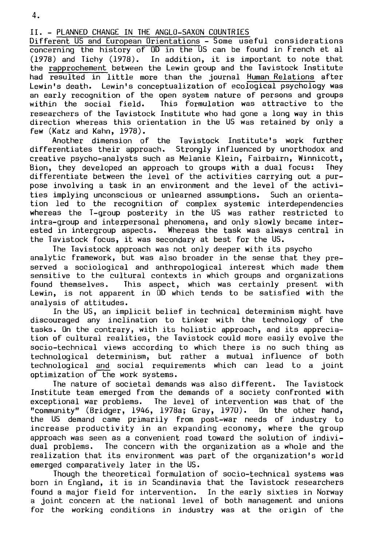II. - PLANNED CHANGE IN THE ANGLO-SAXON COUNTRIES

Different US and European Orientations - Some useful considerations concerning the history of OD in the US can be found in French et al (1978) and Tichy (1978). In addition, it is important to note that the rapprochement between the Lewin group and the Tavistock Institute had resulted in little more than the journal Human Relations after Lewin's death. Lewin's conceptualization of ecological psychology was an early recognition of the open system nature of persons and groups within the social field. This formulation was attractive to the researchers of the Tavistock Institute who had gone a long way in this direction whereas this orientation in the US was retained by only a few (Katz and Kahn, 1978).

Another dimension of the Tavistock Institute's work further differentiates their approach. Strongly influenced by unorthodox and creative psycho-analysts such as Melanie Klein, Fairbairn, Winnicott, Bion, they developed an approach to groups with a dual focus: They differentiate between the level of the activities carrying out a purpose involving a task in an environment and the level of the activities implying unconscious or unlearned assumptions. Such an orientation led to the recognition of complex systemic interdependencies whereas the T-group posterity in the US was rather restricted to intra-group and interpersonal phenomena, and only slowly became interested in intergroup aspects. Whereas the task was always central in the Tavistock focus, it was secondary at best for the US.

The Tavistock approach was not only deeper with its psycho analytic framework, but was also broader in the sense that they preserved a sociological and anthropological interest which made them sensitive to the cultural contexts in which groups and organizations found themselves. This aspect, which was certainly present with Lewin, is not apparent in OD which tends to be satisfied with the analysis of attitudes.

In the US, an implicit belief in technical determinism might have discouraged any inclination to tinker with the technology of the tasks. On the contrary, with its holistic approach, and its appreciation of cultural realities, the Tavistock could more easily evolve the socio-technical views according to which there is no such thing as technological determinism, but rather a mutual influence of both technological and social requirements which can lead to a joint optimization of the work systems.

The nature of societal demands was also different. The Tavistock Institute team emerged from the demands of a society confronted with exceptional war problems. The level of intervention was that of the "community" (Bridger, 1946, 1978a; Gray, 1970). On the other hand, the US demand came primarily from post-war needs of industry to increase productivity in an expanding economy, where the group approach was seen as a convenient road toward the solution of individual problems. The concern with the organization as a whole and the realization that its environment was part of the organization's world emerged comparatively later in the US.

Though the theoretical formulation of socio-technical systems was born in England, it is in Scandinavia that the Tavistock researchers found a major field for intervention. In the early sixties in Norway a joint concern at the national level of both management and unions for the working conditions in industry was at the origin of the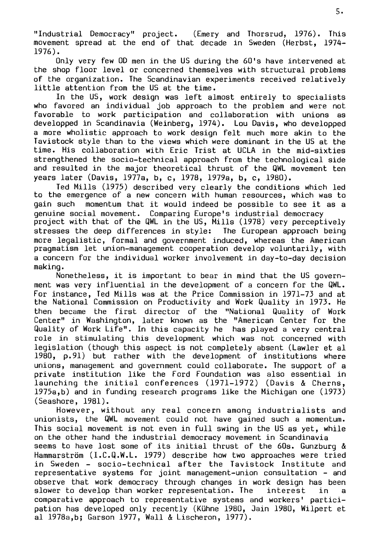"Industrial Democracy" project. (Emery and Thorsrud, 1976). This movement spread at the end of that decade in Sweden (Herbst, 1974- 1976).

Only very few OD men in the US during the 60's have intervened at the shop floor level or concerned themselves with structural problems of the organization. The Scandinavian experiments received relatively little attention from the US at the time.

In the US, work design was left almost entirely to specialists who favored an individual job approach to the problem and were not favorable to work participation and collaboration with unions as developped in Scandinavia (Weinberg, 1974). Lou Davis, who developped a more wholistic approach to work design felt much more akin to the Tavistock style than to the views which were dominant in the US at the time. His collaboration with Eric Trist at UCLA in the mid-sixties strengthened the socio-technical approach from the technological side and resulted in the major theoretical thrust of the QWL movement ten years later (Davis, 1977a, b, c, 1978, 1979a, b, c, 1980).

Ted Mills (1975) described very clearly the conditions which led to the emergence of a new concern with human resources, which was to gain such momentum that it would indeed be possible to see it as a genuine social movement. Comparing Europe's industrial democracy project with that of the QWL in the US, Mills (1978) very perceptively stresses the deep differences in style: The European approach being more legalistic, formai and government induced, whereas the American pragmatism let union-management cooperation develop voluntarily, with a concern for the individual worker involvement in day-to-day decision making.

Nonetheless, it is important to bear in mind that the US government was very influential in the development of a concern for the QWL. For instance, Ted Mills was at the Price Commission in 1971-73 and at the National Commission on Productivity and Work Quality in 1973. He then became the first director of the "National Quality of Work Center" in Washington, later known as the "American Center for the Quality of Work Life". In this capacity he has played a very central role in stimulating this development which was not concerned with legislation (though this aspect is not completely absent (Lawler et al 1980, p.91) but rather with the development of institutions where unions, management and government could collaborate. The support of a private institution like the Ford Foundation was also essentiel in launching the initial conferences (1971-1972) (Davis & Cherns, 1975a,b) and in funding research programs like the Michigan one (1973) (Seashore, 1981).

However, without any real concern among industrialists and unionists, the QWL movement could not have gained such a momentum. This social movement is not even in full swing in the US as yet, while on the other hand the industrial democracy movement in Scandinavie seems to have lost some of its initial thrust of the 60s. Gunzburg & Hammarström (I.C.Q.W.L. 1979) describe how two approaches were tried in Sweden - socio-technical after the Tavistock Institute and representative systems for joint management-union consultation - and observe that work democracy through changes in work design has been<br>slower to develop than worker representation. The interest in a slower to develop than worker representation. The comparative approach to representative systems and workers' participation has developed only recently (Kühne 1980, Jain 1980, Wilpert et al 1978a,b; Garson 1977, Wall & Lischeron, 1977).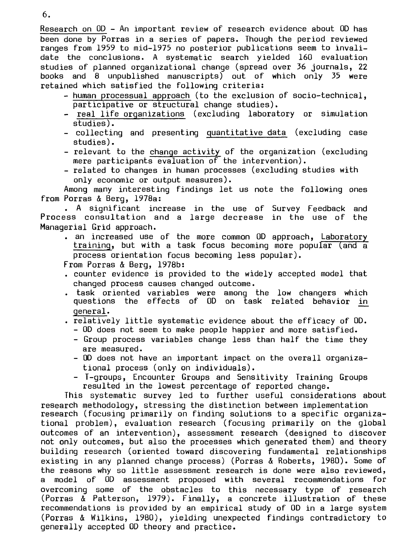Research on OD - An important review of research evidence about OD has been done by Porras in a series of papers. Though the period reviewed ranges from 1959 to mid-1975 no posterior publications seem to invalidate the conclusions. A systematic search yielded 160 evaluation studies of planned organizational change (spread over 36 journals, 22 books and 8 unpublished manuscripts) out of which only 35 were retained which satisfied the following criteria:

- human processual approach (to the exclusion of socio-technical, participative or structural change studies).
- real life organizations (excluding laboratory or simulation studies).
- collecting and presenting quantitative data (excluding case studies).
- relevant to the change activity of the organization (excluding mere participants evaluation of the intervention).
- related to changes in human processes (excluding studies with only economic or output measures).

Among many interesting findings let us note the following ones<br>Porras & Berg, 1978a:<br>. A significant increase in the use of Survey Feedback and<br>ess consultation and a large decrease in the use of the from Porras & Berg, 1978a:

Process consultation and a large decrease in the use of the Managerial Grid approach. . A significant increase in the use of Survey Feedback and<br>ess consultation and a large decrease in the use of the<br>erial Grid approach.<br>. an increased use of the more common OD approach, Laboratory

training, but with a task focus becoming more popular (and a process orientation focus becoming less popular).

From Porras & Berg, 1978b:

- process orientation focus becoming less popular).<br>From Porras & Berg, 1978b:<br>. counter evidence is provided to the widely accepted model that<br>changed process causes changed outcome. changed process causes changed outcome. . counter evidence is provided to the widely accepted model that<br>changed process causes changed outcome.<br>task oriented variables were among the low changers which<br>questions the effects of OD on task related behavior in
- questions the effects of OD on task related behavior in general.
- relatively little systematic evidence about the efficacy of OD.
	- OD does not seem to make people happier and more satisfied.
	- Group process variables change less than half the time they are measured.
	- OD does not have an important impact on the overall organizational process (only on individuals).
	- T-groups, Encounter Groups and Sensitivity Training Groups resulted in the lowest percentage of reported change.

This systematic survey led to further useful considerations about research methodology, stressing the distinction between implementation

research (focusing primarily on finding solutions to a specific organizational problem), evaluation research (focusing primarily on the global outcomes of an intervention), assessment research (designed to discover not only outcomes, but also the processes which generated them) and theory building research (oriented toward discovering fundamental relationships existing in any planned change process) (Porras & Roberts, 1980). Some of the reasons why so little assessment research is done were also reviewed, a model of OD assessment proposed with several recommendations for overcoming some of the obstacles to this necessary type of research (Porras & Patterson, 1979). Finally, a concrete illustration of these recommendations is provided by an empirical study of OD in a large system (Porras & Wilkins, 1980), yielding unexpected findings contradictory to generally accepted OD theory and practice.

6.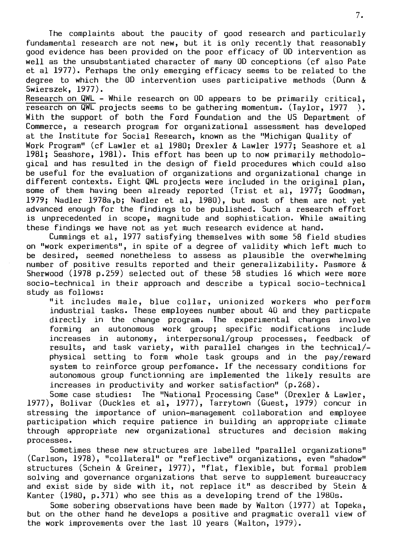The complaints about the paucity of good research and particularly fundamental research are not new, but it is only recently that reasonably good evidence has been provided on the poor efficacy of OD intervention as well as the unsubstantiated character of many OD conceptions (cf also Pate et al 1977). Perhaps the only emerging efficacy seems to be related to the degree to which the OD intervention uses participative methods (Dunn & Swierszek, 1977).

Research on QWL - While research on OD appears to be primarily critical, research on QWL projects seems to be gathering momentum. (Taylor, 1977 ). With the support of both the Ford Foundation and the US Department of Commerce, a research program for organizational assessment has developed at the Institute for Social Research, known as the "Michigan Quality of Work Program" (cf Lawler et al 1980; Drexler & Lawler 1977; Seashore et al 1981; Seashore, 1981). This effort has been up to now primarily methodological and has resulted in the design of field procedures which could also be useful for the evaluation of organizations and organizational change in different contexts. Eight QWL projects were included in the original plan, some of them having been already reported (Trist et al, 1977; Goodman, 1979; Nadler 1978a,b; Nadler et al, 1980), but most of them are not yet advanced enough for the findings to be published. Such a research effort is unprecedented in scope, magnitude and sophistication. While awaiting these findings we have not as yet much research evidence at hand.

Cummings et al, 1977 satisfying themselves with some 58 field studies on "work experiments", in spite of a degree of validity which left much to be desired, seemed nonetheless to assess as plausible the overwhelming number of positive results reported and their generalizability. Pasmore & Sherwood (1978 p.259) selected out of these 58 studies 16 which were more socio-technical in their approach and describe a typical socio-technical study as follows:

"it includes male, blue collar, unionized workers who perform industrial tasks. These employees number about 40 and they particpate directly in the change program. The experimental changes involve forming an autonomous work group; specific modifications include increases in autonomy, interpersonal/group processes, feedback of results, and task variety, with parallel changes in the technical/ physical setting to form whole task groups and in the pay/reward system to reinforce group perfomance. If the necessary conditions for autonomous group functionning are implemented the likely results are increases in productivity and worker satisfaction" (p.268).

Some case studies: The "National Processing Case" (Drexler & Lawler, 1977), Bolivar (Duckles et al, 1977), Tarrytown (Guest, 1979) concur in stressing the importance of union-management collaboration and employee participation which require patience in building an appropriate climate through appropriate new organizational structures and decision making processes.

Sometimes these new structures are labelled "parallel organizations" (Carlson, 1978), "collateral" or "reflective" organizations, even "shadow" structures (Schein & Greiner, 1977), "flat, flexible, but formai problem solving and governance organizations that serve to supplement bureaucracy and exist side by side with it, not replace it" as described by Stein & Kanter (1980, p.371) who see this as a developing trend of the 1980s.

Some sobering observations have been made by Walton  $(1977)$  at Topeka, but on the other hand he develops a positive and pragmatic overall view of the work improvements over the last 10 years (Walton, 1979).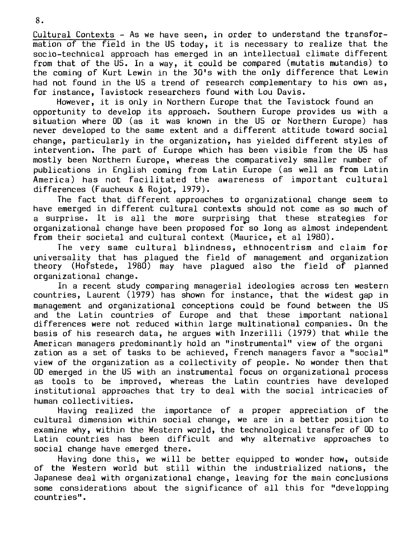Cultural Contexts - As we have seen, in order to understand the transformation of the field in the US today, it is necessary to realize that the socio-technical approach has emerged in an intellectual climate different from that of the US. In a way, it could be compared (mutatis mutandis) to the coming of Kurt Lewin in the 30's with the only difference that Lewin had not found in the US a trend of research complementary to his own as, for instance, Tavistock researchers found with Lou Davis.

However, it is only in Northern Europe that the Tavistock found an opportunity to develop its approach. Southern Europe provides us with a situation where OD (as it was known in the US or Northern Europe) has never developed to the same extent and a different attitude toward social change, particularly in the organization, has yielded different styles of intervention. The part of Europe which has been visible from the US has mostly been Northern Europe, whereas the comparatively smaller number of publications in English coming from Latin Europe (as well as from Latin America) has not facilitated the awareness of important cultural differences (Faucheux & Rojot, 1979).

The fact that different approaches to organizational change seem to have emerged in different cultural contexts should not come as so much of a surprise. It is all the more surprising that these strategies for organizational change have been proposed for so long as almost independent from their societal and cultural context (Maurice, et al 1980).

The very same cultural blindness, ethnocentrism and claim for universality that has plagued the field of management and organization theory (Hofstede, 1980) may have plagued also the field of planned organizational change.

In a recent study comparing managerial ideologies across ten western countries, Laurent (1979) has shown for instance, that the widest gap in management and organizational conceptions could be found between the US and the Latin countries of Europe and that these important national differences were not reduced within large multinational companies. On the basis of his research data, he argues with Inzerilli (1979) that while the American managers predominantly hold an "instrumental" view of the organi zation as a set of tasks to be achieved, French managers favor a "social" view of the organization as a collectivity of people. No wonder then that OD emerged in the US with an instrumental focus on organizational process as tools to be improved, whereas the Latin countries have developed institutional approaches that try to deal with the social intricacies of human collectivities.

Having realized the importance of a proper appreciation of the cultural dimension within social change, we are in a better position to examine why, within the Western world, the technological transfer of OD to Latin countries has been difficult and why alternative approaches to social change have emerged there.

Having done this, we will be better equipped to wonder how, outside of the Western world but still within the industrialized nations, the Japanese deal with organizational change, leaving for the main conclusions some considerations about the significance of all this for "developping countries".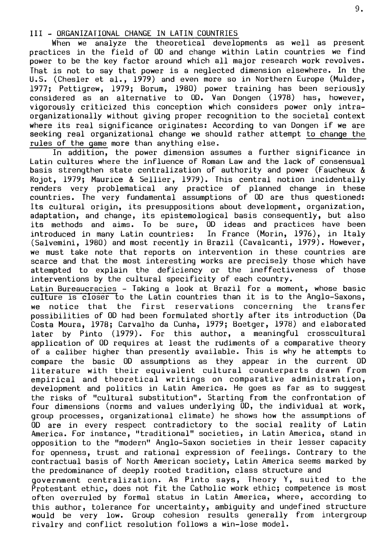III - ORGANIZATIONAL CHANGE IN LATIN COUNTRIES

When we analyze the theoretical developments as well as present practices in the field of OD and change within Latin countries we find power to be the key factor around which ail major research work revolves. That is not to say that power is a neglected dimension elsewhere. In the U.S. (Chesler et al., 1979) and even more so in Northern Europe (Mulder, 1977; Pettigrew, 1979; Borum, 1980) power training has been seriously considered as an alternative to OD. Van Dongen (1978) has, however, vigorously criticized this conception which considers power only intraorganizationally without giving proper recognition to the societal context where its real significance originates: According to van Dongen if we are seeking real organizational change we should rather attempt to change the rules of the game more than anything else.

In addition, the power dimension assumes a further significance in Latin cultures where the influence of Roman Law and the lack of consensual basis strengthen state centralization of authority and power (Faucheux & Rojot, 1979; Maurice & Sellier, 1979). This central notion incidentally renders very problematical any practice of planned change in these countries. The very fundamental assumptions of OD are thus questioned: Its cultural origin, its presuppositions about development, organization, adaptation, and change, its epistemological basis consequently, but also its methods and aims. To be sure, OD ideas and practices have been introduced in many Latin countries: In France (Morin, 1976), in Italy (Salvemini, 1980) and most recently in Brazil (Cavalcanti, 1979). However, we must take note that reports on intervention in these countries are scarce and that the most interesting works are precisely those which have attempted to explain the deficiency or the ineffectiveness of those interventions by the cultural specificity of each country.

Latin Bureaucracies - Taking a look at Brazil for a moment, whose basic culture is Gloser to the Latin countries than it is to the Anglo-Saxons, we notice that the first reservations concerning the transfer possibilities of OD had been formulated shortly after its introduction (Da Costa Moura, 1978; Carvalho da Cunha, 1979; Boetger, 1978) and elaborated later by Pinto (1979). For this author, a meaningful crosscultural application of OD requires at least the rudiments of a comparative theory of a caliber higher than presently available. This is why he attempts to compare the basic OD assumptions as they appear in the current OD literature with their equivalent cultural counterparts drawn from empirical and theoretical writings on comparative administration, development and politics in Latin America. He goes as far as to suggest the risks of "cultural substitution". Starting from the confrontation of four dimensions (norms and values underlying OD, the individuel at work, group processes, organizational climate) he shows how the assumptions of OD are in every respect contradictory to the social reality of Latin America. For instance, "traditional" societies, in Latin America, stand in opposition to the "modern" Anglo-Saxon societies in their lesser capacity for openness, trust and rational expression of feelings. Contrary to the contractual basis of North American society, Latin America seems marked by the predominance of deeply rooted tradition, class structure and government centralization. As Pinto says, Theory Y, suited to the Protestant ethic, does not fit the Catholic work ethic; competence is most often overruled by formal status in Latin America, where, according to this author, tolerance for uncertainty, ambiguity and undefined structure

would be very low. Group cohesion results generally from intergroup

rivalry and conflict resolution follows a win-lose model.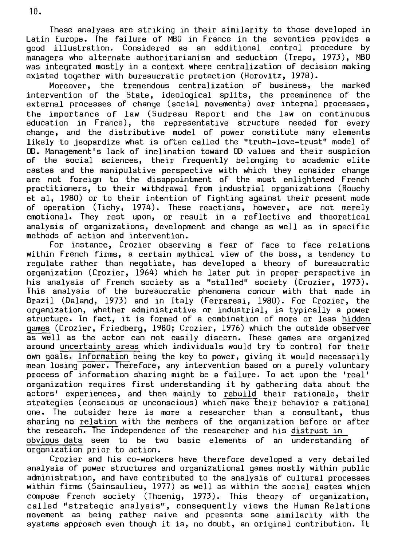These analyses are striking in their similarity to those developed in Latin Europe. The failure of MBO in France in the seventies provides a good illustration. Considered as an additional control procedure by managers who alternate authoritarianism and seduction (Trepo, 1973), MBO was integrated mostly in a context where centralization of decision making existed together with bureaucratic protection (Horovitz, 1978).

Moreover, the tremendous centralization of business, the marked intervention of the State, ideological splits, the preeminence of the external processes of change (social movements) over internal processes, the importance of law (Sudreau Report and the law on continuous education in France), the representative structure needed for every change, and the distributive model of power constitute many elements likely to jeopardize what is often called the "truth-love-trust" model of OD. Management's lack of inclination toward OD values and their suspicion of the social sciences, their frequently belonging to academic elite castes and the manipulative perspective with which they consider change are not Foreign to the disappointment of the most enlightened French practitioners, to their withdrawal from industrial organizations (Rouchy et al, 1980) or to their intention of fighting against their present mode of operation (Tichy, 1974). These reactions, however, are not merely emotional. They rest upon, or result in a reflective and theoretical analysis of organizations, development and change as well as in specific methods of action and intervention.

For instance, Crozier observing a fear of face to face relations within French firms, a certain mythical view of the boss, a tendency to regulate rather than negotiate, has developed a theory of bureaucratic organization (Crozier, 1964) which he later put in proper perspective in his analysis of French society as a "stalled" society (Crozier, 1973). This analysis of the bureaucratic phenomena concur with that made in Brazil (Daland, 1973) and in Italy (Ferraresi, 1980). For Crozier, the organization, whether administrative or industrial, is typically a power structure. In fact, it is formed of a combination of more or less hidden games (Crozier, Friedberg, 1980; Crozier, 1976) which the outside observer as well as the actor can not easily discern. These games are organized around uncertainty areas which individuals would try to control for their own goals. Information being the key to power, giving it would necessarily mean losing power. Therefore, any intervention based on a purely voluntary process of information sharing might be a failure. To act upon the 'real' organization requires first understanding it by gathering data about the actors' experiences, and then mainly to rebuild their rationale, their strategies (conscious or unconscious) which make their behavior a rational one. The outsider here is more a researcher than a consultant, thus sharing no relation with the members of the organization before or after the research. The independence of the researcher and his distrust in obvious data seem to be two basic elements of an understanding of organization prior to action.

Crozier and his co-workers have therefore developed a very detailed analysis of power structures and organizational games mostly within public administration, and have contributed to the analysis of cultural processes within firms (Sainsaulieu, 1977) as well as within the social castes which compose French society (Thoenig, 1973). This theory of organization, called "strategic analysis", consequently views the Human Relations movement as being rather naive and presents some similarity with the systems approach even though it is, no doubt, an original contribution. It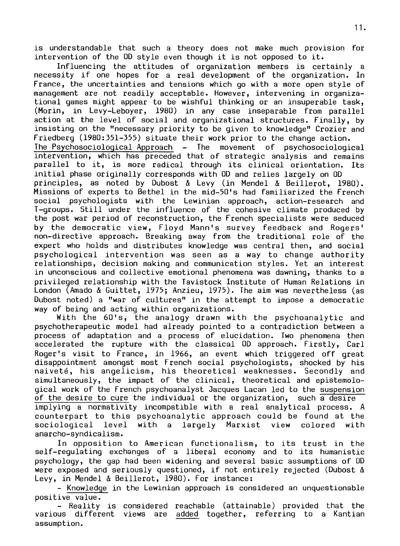is understandable that such a theory does not make much provision for intervention of the OD style even though it is not opposed to it.

Influencing the attitudes of organization members is certainly a necessity if one hopes for a real development of the organization. In France, the uncertainties and tensions which go with a more open style of management are not readily acceptable. However, intervening in organizational games might appear to be wishful thinking or an insuperable task, (Morin, in Levy-Leboyer, 1980) in any case inseparable from parallel action at the level of social and organizational structures. Finally, by insisting on the "necessary priority to be given to knowledge" Crozier and Friedberg (1980:351-355) situate their work prior to the change action. The Psychosociological Approach - The movement of psychosociological intervention, which has preceded that of strategic analysis and remains parallel to it, is more radical through its clinical orientation. Its initial phase originally corresponds with OD and relies largely on OD principles, as noted by Dubost & Levy (in Mendel & Beillerot, 1980). Missions of experts to Bethel in the mid-50's had familiarized the French social psychologists with the Lewinian approach, action-research and T-groups. Still under the influence of the cohesive climate produced by the post war period of reconstruction, the French specialists were seduced by the democratic view, Floyd Mann's survey feedback and Rogers' non-directive approach. Breaking away from the traditional role of the expert who holds and distributes knowledge was central then, and social psychological intervention was seen as a way to change authority relationships, decision making and communication styles. Yet an interest in unconscious and collective emotional phenomena was dawning, thanks to a privileged relationship with the Tavistock Institute of Human Relations in London (Amado & Guittet, 1975; Anzieu, 1975). The aim was nevertheless (as Dubost noted) a "war of cultures" in the attempt to impose a democratic way of being and acting within organizations.

With the 60's, the analogy drawn with the psychoanalytic and psychotherapeutic model had already pointed to a contradiction between a process of adaptation and a process of elucidation. Two phenomena then accelerated the rupture with the classical OD approach. Firstly, Carl Roger's visit to France, in 1966, an event which triggered off great disappointment amongst most French social psychologists, shocked by his naiveté, his angelicism, his theoretical weaknesses. Secondly and simultaneously, the impact of the clinical, theoretical and epistemological work of the French psychoanalyst Jacques Lacan led to the suspension of the desire to cure the individuel or the organization, such a desire implying a normativity incompatible with a real analytical process. A counterpart to this psychoanalytic approach could be found at the sociological level with a largely Marxist view colored with anarcho-syndicalism.

In opposition to American functionalism, to its trust in the self-regulating exchanges of a liberal economy and to its humanistic psychology, the gap had been widening and several basic assumptions of OD were exposed and seriously questioned, if not entirely rejected (Dubost & Levy, in Mendel & Beillerot, 1980). For instance:

- Knowledge in the Lewinian approach is considered an unquestionable positive value.

- Reality is considered reachable (attainable) provided that the various different views are added together, referring to a Kantian assumption.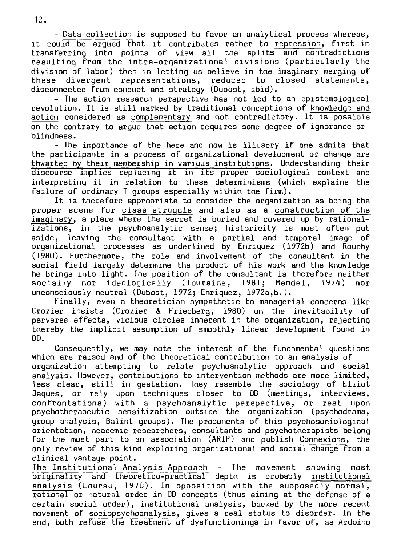- Data collection is supposed to favor an analytical process whereas, it could be argued that it contributes rather to repression, first in transferring into points of view ail the splits and contradictions resulting from the intra-organizational divisions (particularly the division of labor) then in letting us believe in the imaginary merging of these divergent representations, reduced to closed statements, disconnected from conduct and strategy (Dubost, ibid).

- The action research perspective has not led to an epistemological revolution. It is still marked by traditional conceptions of knowledge and action considered as complementary and not contradictory. It is possible on the contrary to argue that action requires some degree of ignorance or blindness.

- The importance of the here and now is illusory if one admits that the participants in a process of organizational development or change are thwarted by their membership in varions institutions. Understanding their discourse implies replacing it in its proper sociological context and interpreting it in relation to these determinisms (which explains the failure of ordinary I groups especially within the firm).

It is therefore appropriate to consider the organization as being the proper scene for class struggle and also as a construction of the imaginary, a place where the secret is buried and covered up by rationalizations, in the psychoanalytic sense; historicity is most often put aside, leaving the consultant with a partial and temporal image of organizational processes as underlined by Enriquez (1972b) and Rouchy (1980). Furthermore, the role and involvement of the consultant in the social field largely determine the product of his work and the knowledge he brings into light. The position of the consultant is therefore neither socially nor ideologically (Touraine, 1981; Mendel, 1974) nor unconsciously neutral (Dubost, 1972; Enriquez, 1972a,b.).

Finally, even a theoretician sympathetic to managerial concerns like Crozier insists (Crozier & Friedberg, 1980) on the inevitability of perverse effects, vicious circles inherent in the organization, rejecting thereby the implicit assumption of smoothly linear development found in OD.

Consequently, we may note the interest of the fundamental questions which are raised and of the theoretical contribution to an analysis of organization attempting to relate psychoanalytic approach and social analysis. However, contributions to intervention methods are more limited, less clear, still in gestation. They resemble the sociology of Elliot Jaques, or rely upon techniques Gloser to OD (meetings, interviews, confrontations) with a psychoanalytic perspective, or rest upon psychotherapeutic sensitization outside the organization (psychodrama, group analysis, Balint groups). The proponents of this psychosociological orientation, academic researchers, consultants and psychotherapists belong for the most part to an association (ARIP) and publish Connexions, the only review of this kind exploring organizational and social change from a clinical vantage point.

The Institutional Analysis Approach - The movement showing most originality and theoretico-practical depth is probably institutional analysis (Lourau, 1970). In opposition with the supposedly normal, rational or natural order in OD concepts (thus aiming at the defense of a certain social order), institutional analysis, backed by the more recent movement of sociopsychoanalysis, gives a real status to disorder. In the end, both refuse the treatment of dysfunctionings in favor of, as Ardoino

12.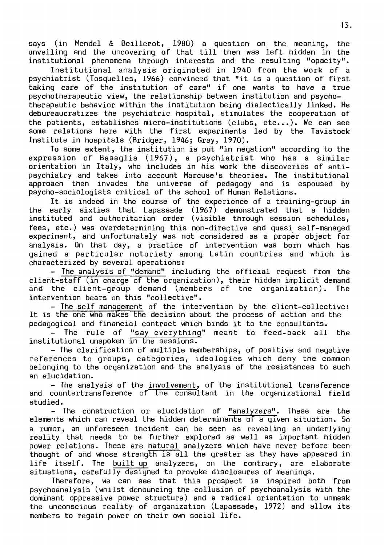says (in Mendel & Beillerot, 1980) a question on the meaning, the unveiling and the uncovering of that till then was left hidden in the institutional phenomena through interests and the resulting "opacity".

Institutional analysis originated in 1940 from the work of a psychiatrist (Tosquelles, 1966) convinced that "it is a question of first taking care of the institution of care" if one wants to have a true psychotherapeutic view, the relationship between institution and psychotherapeutic behavior within the institution being dialectically linked. He debureaucratizes the psychiatric hospital, stimulates the cooperation of the patients, establishes micro-institutions (clubs, etc...). We can see some relations here with the first experiments led by the Tavistock Institute in hospitals (Bridger, 1946; Gray, 1970).

To some extent, the institution is put "in negation" according to the expression of Basaglia (1967), a psychiatrist who has a similar orientation in Italy, who includes in his work the discoveries of antipsychiatry and takes into account Marcuse's theories. The institutional approach then invades the universe of pedagogy and is espoused by psycho-sociologists critical of the school of Human Relations.

It is indeed in the course of the experience of a training-group in the early sixties that Lapassade (1967) demonstrated that a hidden instituted and authoritarian order (visible through session schedules, fees, etc.) was overdetermining this non-directive and quasi self-managed experiment, and unfortunately was not considered as a proper abject for analysis. On that day, a practice of intervention was born which has gained a particular notoriety among Latin countries and which is characterized by several operations:

- The analysis of "demand" including the official request from the client-staff (in charge of the organization), their hidden implicit demand and the client-group demand (members of the organization). The intervention bears on this "collective".

- The self management of the intervention by the client-collective: It is the one who makes the decision about the process of action and the pedagogical and financial contract which binds it to the consultants.

- The rule of "say everything" meant to feed-back ail the institutional unspoken in the sessions.

- The clarification of multiple memberships, of positive and negative references to groups, categories, ideologies which deny the common belonging to the organization and the analysis of the resistances to such an elucidation.

- The analysis of the involvement, of the institutional transference and countertransference of the consultant in the organizational field studied.

- The construction or elucidation of "analyzers". These are the elements which can reveal the hidden determinants of a given situation. So a rumor, an unforeseen incident can be seen as revealing an underlying reality that needs to be further explored as well as important hidden power relations. These are natural analyzers which have never before been thought of and whose strength is all the greater as they have appeared in life itself. The built up analyzers, on the contrary, are elaborate situations, carefully designed to provoke disclosures of meanings.

Therefore, we can see that this prospect is inspired both from psychoanalysis (whilst denouncing the collusion of psychoanalysis with the dominant oppressive power structure) and a radical orientation to unmask the unconscious reality of organization (Lapassade, 1972) and allow its members to regain power on their own social life.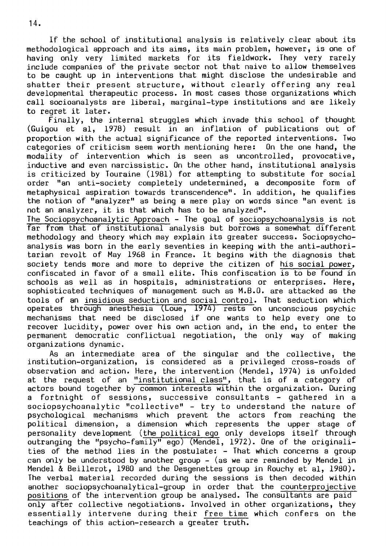If the school of institutional analysis is relatively clear about its methodological approach and its aims, its main problem, however, is one of having only very limited markets for its fieldwork. They very rarely include companies of the private sector not that naive to allow themselves to be caught up in interventions that might disclose the undesirable and shatter their present structure, without clearly offering any real developmental therapeutic process. In most cases those organizations which call socioanalysts are liberal, marginal-type institutions and are likely to regret it later.

Finally, the internai struggles which invade this school of thought (Guigou et al, 1978) result in an inflation of publications out of proportion with the actual significance of the reported interventions. Two<br>categories of criticism seem worth mentioning here: On the one hand, the  $c$ ategories of criticism seem worth mentioning here: modality of intervention which is seen as uncontrolled, provocative, inductive and even narcissistic. On the other hand, institutional analysis is criticized by Touraine (1981) for attempting to substitute for social order "an anti-society completely undetermined, a decomposite form of metaphysical aspiration towards transcendence". In addition, he qualifies the notion of "analyzer" as being a mere play on words since "an event is not an analyzer, it is that which has to be analyzed".

The Sociopsychoanalytic Approach - The goal of sociopsychoanalysis is not far from that of institutional analysis but borrows a somewhat different methodology and theory which may explain its greater success. Sociopsychoanalysis was born in the early seventies in keeping with the anti-authoritarian revoit of May 1968 in France. It begins with the diagnosis that society tends more and more to deprive the citizen of his social power, confiscated in favor of a small elite. This confiscation is to be found in schools as well as in hospitals, administrations or enterprises. Here, sophisticated techniques of management such as M.B.O. are attacked as the tools of an insidious seduction and social control. That seduction which operates through anesthesia (Loue, 1974) rests on unconscious psychic mechanisms that need be disclosed if one wants to help every one to recover lucidity, power over his own action and, in the end, to enter the permanent democratic conflictuel negotiation, the only way of making organizations dynamic.

As an intermediate area of the singular and the collective, the institution-organization, is considered as a privileged cross-roads of observation and action. Here, the intervention (Mendel, 1974) is unfolded at the request of an "institutional class", that is of a category of actors bound together by common interests within the organization. During a fortnight of sessions, successive consultants - qathered in a sociopsychoanalytic "collective" - try to understand the nature of psychological mechanisms which prevent the actors from reaching the political dimension, a dimension which represents the upper stage of personality development (the political ego only develops itself through outranging the "psycho-family" ego) (Mendel, 1972). One of the originalities of the method lies in the postulate: - That which concerns a group can only be understood by another group - (as we are reminded by Mendel in Mendel & Beillerot, 1980 and the Desgenettes group in Rouchy et al, 1980). The verbal material recorded during the sessions is then decoded within another sociopsychoanalytical-group in order that the counterprojective positions of the intervention group be analysed. The consultants are paid only after collective negotiations. Involved in other organizations, they essentially intervene during their free time which confers on the teachings of this action-research a greater truth.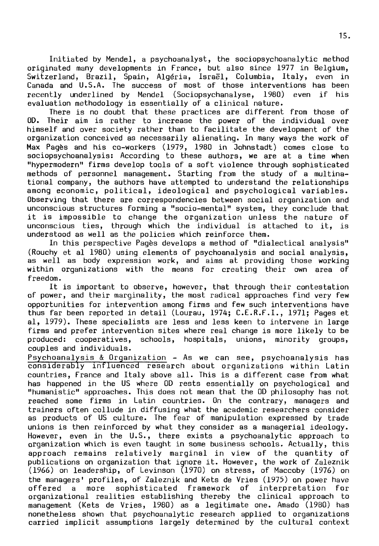Initiated by Mendel, a psychoanalyst, the sociopsychoanalytic method originated many developments in France, but also since 1977 in Belgium, Switzerland, Brazil, Spain, Algéria, Israël, Columbia, Italy, even in Canada and U.S.A. The success of most of those interventions has been recently underlined by Mendel (Sociopsychanalyse, 1980) even if his evaluation methodology is essentially of a clinical nature.

There is no doubt that these practices are different from those of OD. Their aim is rather to increase the power of the individual over himself and over society rather than to facilitate the development of the organization conceived as necessarily alienating. In many ways the work of Max Pagès and his co-workers (1979, 1980 in Johnstadt) comes close to sociopsychoanalysis: According to these authors, we are at a time when "hypermodern" firms develop tools of a soft violence through sophisticated methods of personnel management. Starting from the study of a multinational company, the authors have attempted to understand the relationships among economic, political, ideological and psychological variables. Observing that there are correspondencies between social organization and unconscious structures forming a "socio-mental" system, they conclude that it is impossible to change the organization unless the nature of unconscious ties, through which the individual is attached to it, is understood as well as the policies which reinforce them.

In this perspective Pagès develops a method of "dialectical analysis" (Rouchy et al 1980) using elements of psychoanalysis and social analysis, as well as body expression work, and aims at providing those working within organizations with the means for creating their own area of freedom.

It is important to observe, however, that through their contestation of power, and their marginality, the most radical approaches find very few opportunities for intervention among firms and few such interventions have thus far been reported in detail (Lourau, 1974; C.E.R.F.I., 1971; Pages et al, 1979). These specialists are less and less keen to intervene in large firms and prefer intervention sites where real change is more likely to be produced: cooperatives, schools, hospitals, unions, minority groups, produced: cooperatives, schools, hospitals, unions, couples and individuals.

Psychoanalysis & Organization - As we can see, psychoanalysis has considerably influenced research about organizations within Latin countries, France and Italy above all. This is a different case from what has happened in the US where OD rests essentially on psychological and "humanistic" approaches. This does not mean that the OD philosophy has not reached some firms in Latin countries. On the contrary, managers and trainers often collude in diffusing what the academic researchers consider as products of US culture. The fear of manipulation expressed by trade unions is then reinforced by what they consider as a managerial ideology. However, even in the U.S., there exists a psychoanalytic approach to organization which is even taught in some business schools. Actually, this approach remains relatively marginal in view of the quantity of publications on organization that ignore it. However, the work of Zaleznik (1966) on leadership, of Levinson (1970) on stress, of Maccoby (1976) on the managers' profiles, of Zaleznik and Kets de Vries (1975) on power have offered a more sophisticated framework of interpretation for organizational realities establishing thereby the clinical approach to management (Kets de Vries, 1980) as a legitimate one. Amado (1980) has nonetheless shown that psychoanalytic research applied to organizations carried implicit assumptions largely determined by the cultural context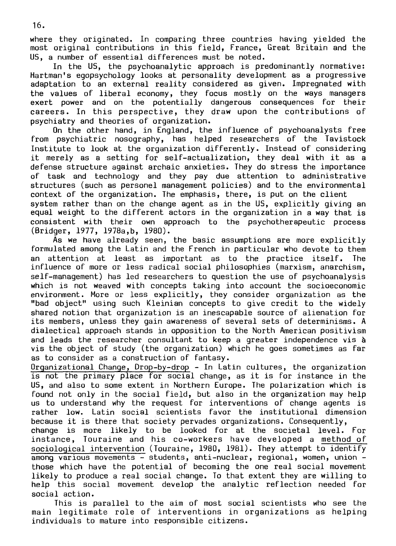where they originated. In comparing three countries having yielded the most original contributions in this field, France, Great Britain and the US, a number of essential differences must be noted.

In the US, the psychoanalytic approach is predominantly normative: Hartman's egopsychology looks at personality development as a progressive adaptation to an external reality considered as given. Impregnated with the values of liberal economy, they focus mostly on the ways managers exert power and on the potentially dangerous consequences for their careers. In this perspective, they draw upon the contributions of psychiatry and theories of organization.

On the other hand, in England, the influence of psychoanalysts free from psychiatric nosography, has helped researchers of the Tavistock Institute to look at the organization differently. Instead of considering it merely as a setting for self-actualization, they deal with it as a defense structure against archaic anxieties. They do stress the importance of task and technology and they pay due attention to administrative structures (such as personel management policies) and to the environmental context of the organization. The emphasis, there, is put on the client system rather than on the change agent as in the US, explicitly giving an

equal weight to the different actors in the organization in a way that is consistent with their own approach to the psychotherapeutic process (Bridger, 1977, 1978a,b, 1980).

As we have already seen, the basic assumptions are more explicitly formulated among the Latin and the French in particular who devote to them an attention at least as important as to the practice itself. The influence of more or less radical social philosophies (marxism, anarchism, self-management) has led researchers to question the use of psychoanalysis which is not weaved with concepts taking into account the socioeconomic environment. More or less explicitly, they consider organization as the "bad abject" using such Kleinian concepts to give credit to the widely shared notion that organization is an inescapable source of aliénation for its members, unless they gain awareness of several sets of determinisms. A dialectical approach stands in opposition to the North American positivism and leads the researcher consultant to keep a greater independence vis à vis the object of study (the organization) which he goes sometimes as far as to consider as a construction of fantasy.

Organizational Change, Drop-by-drop - In Latin cultures, the organization is not the primary place for social change, as it is for instance in the US, and also to some extent in Northern Europe. The polarization which is found not only in the social field, but also in the organization may help us to understand why the request for interventions of change agents is rather low. Latin social scientists favor the institutional dimension because it is there that society pervades organizations. Consequently,

change is more likely to be looked for at the societal level. For instance, Touraine and his co-workers have developed a method of sociological intervention (Touraine, 1980, 1981). They attempt to identify among various movements - students, anti-nuclear, regional, women, union those which have the potential of becoming the one real social movement likely to produce a real social change. To that extent they are willing to help this social movement develop the analytic reflection needed for social action.

This is parallel to the aim of most social scientists who see the main legitimate role of interventions in organizations as helping individuals to mature into responsible citizens.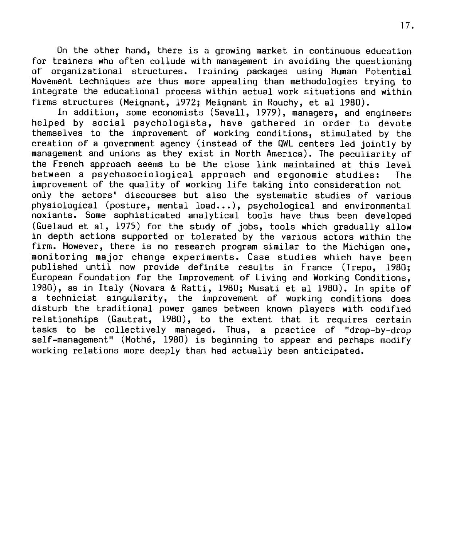On the other hand, there is a growing market in continuous education for trainers who often collude with management in avoiding the questioning of organizational structures. Training packages using Human Potential Movement techniques are thus more appealing than methodologies trying to integrate the educational process within actual work situations and within firms structures (Meignant, 1972; Meignant in Rouchy, et al 1980).

In addition, some economists (Savall, 1979), managers, and engineers helped by social psychologists, have gathered in order to devote themselves to the improvement of working conditions, stimulated by the creation of a government agency (instead of the QWL centers led jointly by management and unions as they exist in North America). The peculiarity of the French approach seems to be the close link maintained at this level between a psychosociological approach and ergonomic studies: The improvement of the quality of working life taking into consideration not only the actors' discourses but also the systematic studies of various physiological (posture, mental load...), psychological and environmental noxiants. Some sophisticated analytical tools have thus been developed (Guelaud et al, 1975) for the study of jobs, tools which gradually allow in depth actions supported or tolerated by the various actors within the firm. However, there is no research program similar to the Michigan one, monitoring major change experiments. Case studies which have been published until now provide definite results in France (Trepo, 1980; European Foundation for the Improvement of Living and Working Conditions, 1980), as in Italy (Novara & Ratti, 1980; Musati et al 1980). In spite of a technicist singularity, the improvement of working conditions does disturb the traditional power games between known players with codified relationships (Gautrat, 1980), to the extent that it requires certain tasks to be collectively managed. Thus, a practice of "drop-by-drop self-management" (Mothé, 1980) is beginning to appear and perhaps modify working relations more deeply than had actually been anticipated.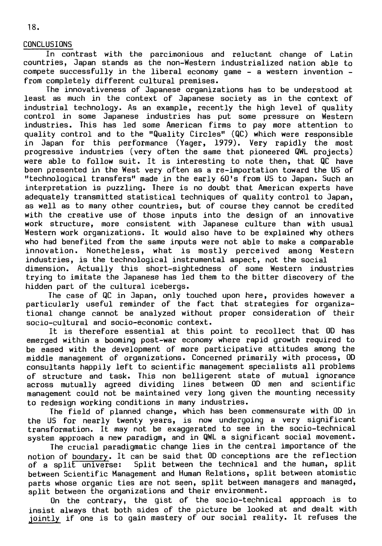In contrast with the parcimonious and reluctant change of Latin countries, Japan stands as the non-Western industrialized nation able to compete successfully in the liberal economy game - a western invention from completely different cultural premises.

The innovativeness of 3apanese organizations has to be understood at least as much in the context of Japanese society as in the context of industrial technology. As an example, recently the high level of quality control in some Japanese industries has put some pressure on Western industries. This has led some American firms to pay more attention to quality control and to the "Quality Circles" (QC) which were responsible in Japan for this performance (Yager, 1979). Very rapidly the most progressive industries (very often the same that pioneered QWL projects) were able to follow suit. It is interesting to note then, that QC have been presented in the West very often as a re-importation toward the US of "technological transfers" made in the early 60's from US to Japan. Such an interpretation is puzzling. There is no doubt that American experts have adequately transmitted statistical techniques of quality control to Japan, as well as to many other countries, but of course they cannot be credited with the creative use of those inputs into the design of an innovative work structure, more consistent with Japanese culture than with usuel Western work organizations. It would also have to be explained why others who had benefited from the same inputs were not able to make a comparable innovation. Nonetheless, what is mostly perceived among Western industries, is the technological instrumental aspect, not the social dimension. Actually this short-sightedness of some Western industries trying to imitate the Japanese has led them to the bitter discovery of the

hidden part of the cultural icebergs.

The case of QC in Japan, only touched upon here, provides however a particularly useful reminder of the fact that strategies for organizational change cannot be analyzed without proper consideration of their socio-cultural and socio-economic context.

It is therefore essentiel at this point to recollect that OD has emerged within a booming post-war economy where rapid growth required to be eased with the development of more participative attitudes among the middle management of organizations. Concerned primarily with process, OD consultants happily left to scientific management specialists ail problems of structure and task. This non belligerent state of mutuel ignorance across mutually agreed dividing lines between OD men and scientific management could not be maintained very long given the mounting necessity to redesign working conditions in many industries.

The field of planned change, which has been commensurate with OD in the US for nearly twenty years, is now undergoing a very significant transformation. It may not be exaggerated to see in the socio-technical system approach a new paradigm, and in QWL a significant social movement.

The crucial paradigmatic change lies in the central importance of the notion of boundary. It can be said that OD conceptions are the reflection of a split universe: Split between the technical and the human, split between Scientific Management and Human Relations, split between atomistic parts whose organic ties are not seen, split between managers and managed, split between the organizations and their environment.

On the contrary, the gist of the socio-technical approach is to insist always that both sides of the picture be looked at and dealt with jointly if one is to gain mastery of our social reality. It refuses the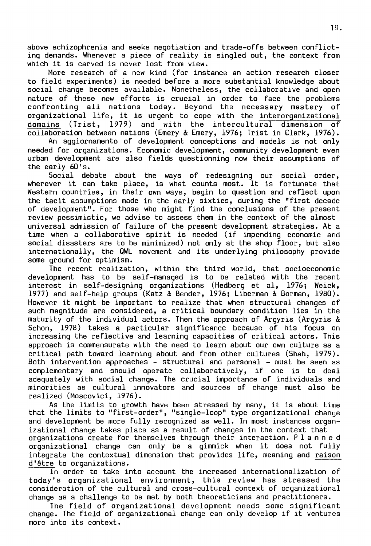above schizophrenia and seeks negotiation and trade-offs between conflicting demands. Whenever a piece of reality is singled out, the context from which it is carved is never lost from view.

More research of a new kind (for instance an action research closer to field experiments) is needed before a more substantial knowledge about social change becomes available. Nonetheless, the collaborative and open nature of these new efforts is crucial in order to face the problems confronting all nations today. Beyond the necessary mastery of organizational life, it is urgent to cope with the interorganizational domains (Trist, 1979) and with the intercultural dimension of collaboration between nations (Emery & Emery, 1976; Trist in Clark, 1976).

An aggiornamento of development conceptions and models is not only needed for organizations. Economic development, community development even urban development are also fields questionning now their assumptions of the early 60's.

Social debate about the ways of redesigning our social order, wherever it can take place, is what counts most. It is fortunate that Western countries, in their own ways, begin to question and reflect upon the tacit assumptions made in the early sixties, during the "first decade of development". For those who might find the conclusions of the present review pessimistic, we advise to assess them in the context of the almost universal admission of failure of the present development strategies. At a time when a collaborative spirit is needed (if impending economic and social disasters are to be minimized) not only at the shop floor, but also internationally, the QWL movement and its underlying philosophy provide some ground for optimism.

The recent realization, within the third world, that socioeconomic development has to be self-managed is to be related with the recent interest in self-designing organizations (Hedberg et al, 1976; Weick, 1977) and self-help groups (Katz & Bender, 1976; Liberman & Borman, 1980). However it might be important to realize that when structural changes of such magnitude are considered, a critical boundary condition lies in the maturity of the individual actors. Then the approach of Argyris (Argyris  $\&$ Schon, 1978) takes a particular significance because of his focus on increasing the reflective and learning capacities of critical actors. This approach is commensurate with the need to learn about our own culture as a critical path toward learning about and from other cultures (Shah, 1979). Both intervention approaches - structural and personal - must be seen as complementary and should operate collaboratively, if one is to deal adequately with social change. The crucial importance of individuals and minorities as cultural innovators and sources of change must also be realized (Moscovici, 1976).

As the limits to growth have been stressed by many, it is about time that the limits to "first-order", "single-loop" type organizational change and development be more fully recognized as well. In most instances organizational change takes place as a result of changes in the context that organizations create for themselves through their interaction. P 1 a n n e d organizational change can only be a gimmick when it does not fully integrate the contextual dimension that provides life, meaning and raison d'être to organizations.

In order to take into account the increased internationalization of today's organizational environment, this review has stressed the consideration of the cultural and cross-cultural context of organizational change as a challenge to be met by both theoreticians and practitioners.

The field of organizational development needs some significant change. The field of organizational change can only develop if it ventures more into its context.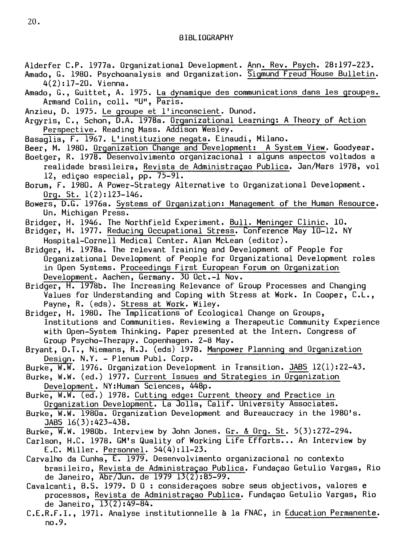### BIBLIOGRAPHY

- Alderfer C.P. 1977a. Organizational Development. Ann. Rev. Psych. 28:197-223.
- Amado, G. 1980. Psychoanalysis and Organization. Sigmund Freud House Bulletin. 4(2):17-20. Vienna.
- Amado, G., Guittet, A. 1975. La dynamique des communications dans les groupes. Armand Colin, coll. "U", Paris.
- Anzieu, D. 1975. Le groupe et l'inconscient. Dunod.

Argyris, C., Schon, D.A. 1978a. Organizational Learning: A Theory of Action Perspective. Reading Mass. Addison Wesley.

- Basaglia, F. 1967. L'instituzione negata. Einaudi, Milano.
- Beer, M. 1980. Organization Change and Development: A System View. Goodyear.
- Boetger, R. 1978. Desenvolvimento organizacional : alguns aspectos voltados a realidade brasileira, Revista de Administraçao Publica. Jan/Mars 1978, vol 12, ediçao especial, pp. 75-91.
- Borum, F. 1980. A Power-Strategy Alternative to Organizational Development. Org. St. 1(2):123-146.
- Bowers, D.G. 1976a. Systems of Organization: Management of the Human Resource. Un. Michigan Press.
- Bridger, H. 1946. The Northfield Experiment. Bull. Meninger Clinic. 10.
- Bridger, H. 1977. Reducing Occupational Stress. Conference May 10-12. NY Hospital-Cornell Medical Center. Alan McLean (editor).
- Bridger, H. 1978a. The relevant Training and Development of People for Organizational Development of People for Organizational Development roles in Open Systems. Proceedings First European Forum on Organization Development. Aachen, Germany. 30 Oct.-1 Nov.
- Bridger, H. 1978b. The Increasing Relevance of Group Processes and Changing Values for Understanding and Coping with Stress at Work. In Cooper, C.L., Payne, R. (eds). Stress at Work. Wiley.
- Bridger, H. 1980. The Implications of Ecological Change on Groups, Institutions and Communities. Reviewing a Therapeutic Community Experience with Open-System Thinking. Paper presented at the Intern. Congress of Group Psycho-Therapy. Copenhagen. 2-8 May.
- Bryant, D.T., Niemans, R.J. (eds) 1978. Manpower Planning and Organization Design. N.Y. - Plenum Publ. Corp.
- Burke, W.W. 1976. Organization Development in Transition. JABS 12(1):22-43.
- Burke, W.W. (ed.) 1977. Current Issues and Strategies in Organization Development. NY:Human Sciences, 448p.

Burke, W.W. (ed.) 1978. Cutting edge: Current theory and Practice in Organization Development. La Jolla, Calif. University Associates.

- Burke, W.W. 1980a. Organization Development and Bureaucracy in the 1980's. JABS 16(3):423-438.
- Burke, W.W. 1980b. Interview by John Jones. Gr. & Org. St. 5(3):272-294.
- Carlson, H.C. 1978. GM's Quality of Working Life Efforts... An Interview by E.C. Miller. Personnel. 54(4):11-23.
- Carvalho da Cunha, E. 1979. Desenvolvimento organizacional no contexto brasileiro, Revista de Administraçao Publica. Fundaçao Getulio Vargas, Rio de Janeiro, Abr/Jun. de 1979 13(2):85-99.
- Cavalcanti, B.S. 1979. D 0 : consideraçoes sobre seus objectivos, valores e processos, Revista de Administraçao Publica. Fundaçao Getulio Vargas, Rio de Janeiro, 13(2):49-84.
- C.E.R.F.I., 1971. Analyse institutionnelle à la FNAC, in Education Permanente. no.9.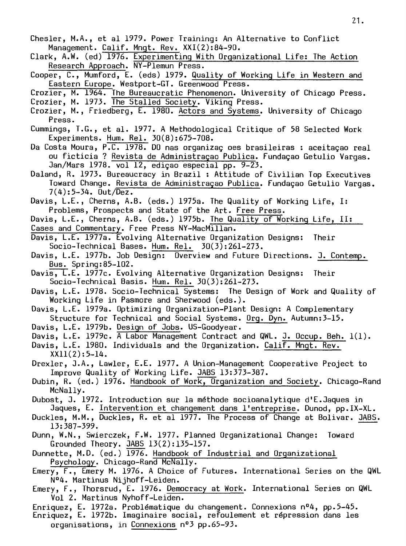- Chesler, M.A., et al 1979. Power Training: An Alternative to Conflict Management. Calif. Mngt. Rev. XXI(2):84-90.
- Clark, A.W. (ed) 1976. Experimenting With Organizational Life: The Action Research Approach. NY-Plemun Press.
- Cooper, C., Mumford, E. (eds) 1979. Quality of Working Life in Western and Eastern Europe. Westport-GT. Greenwood Press.
- Crozier, M. 1964. The Bureaucratic Phenomenon. University of Chicago Press. Crozier, M. 1973. The Stalled Society. Viking Press.
- Crozier, M., Friedberg, E. 1980. Actors and Systems. University of Chicago Press.
- Cummings, T.G., et al. 1977. A Methodological Critique of 58 Selected Work Experiments. Hum. Rel. 30(8):675-708.
- Da Costa Moura, P.C. 1978. DO nas organizaç oes brasileiras : aceitaçao real ou ficticia ? Revista de Administraçao Publica. Fundaçao Getulio Vargas. Jan/Mars 1978. vol 12, ediçao especial pp. 9-23.
- Daland, R. 1973. Bureaucracy in Brazil : Attitude of Civilian Top Executives Toward Change. Revista de Administraçao Publica. Fundaçao Getulio Vargas.  $7(4):5-34.$  Out/Dez.
- Davis, L.E., Cherns, A.B. (eds.) 1975a. The Quality of Working Life, I: Problems, Prospects and State of the Art. Free Press.
- Davis, L.E., Cherns, A.B. (eds.) 1975b. The Quality of Working Life, II:
- Cases and Commentary. Free Press NY-MacMillan.

Davis, L.E. 1977a. Evolving Alternative Organization Designs: Their Socio-Technical Bases. Hum. Rel. 30(3):261-273.

- Davis, L.E. 1977b. Job Design: Overview and Future Directions. J. Contemp. Bus. Spring:85-l02.
- Davis, L.E. 1977c. Evolving Alternative Organization Designs: Their Socio-Technical Basis. Hum. Rel. 30(3):261-273.
- Davis, L.E. 1978. Socio-Technical Systems: The Design of Work and Quality of Working Life in Pasmore and Sherwood (eds.).
- Davis, L.E. 1979a. Optimizing Organization-Plant Design: A Complementary Structure for Technical and Social Systems. Org. Dyn. Autumn:3-15.
- Davis, L.E. 1979b. Design of Jobs. US-Goodyear.
- Davis, L.E. 1979c. A Labor Management Contract and QWL. J. Occup. Beh. 1(1).
- Davis, L.E. 1980. Individuals and the Organization. Calif. Mngt. Rev. XX11(2):5-14.
- Drexler, J.A., Lawler, E.E. 1977. A Union-Management Cooperative Project to Improve Quality of Working Life. JABS 13:373-387.
- Dubin, R. (ed.) 1976. Handbook of Work, Organization and Society. Chicago-Rand McNally.
- Dubost, J. 1972. Introduction sur la méthode socioanalytique d'E.Jaques in Jaques, E. Intervention et changement dans l'entreprise. Dunod, pp.IX-XL.
- Duckles, M.M., Duckles, R. et al 1977. The Process of Change at Bolivar. JABS. 13:387-399.
- Dunn, W.N., Swierczek, F.W. 1977. Planned Organizational Change: Toward Grounded Theory. JABS l3(2):135-157.
- Dunnette, M.D. (ed.) 1976. Handbook of Industrial and Organizational Psychology. Chicago-Rand McNally.
- Emery, F., Emery M. 1976. A Choice of Futures. International Series on the **QWL**  N°4. Martinus Nijhoff-Leiden.
- Emery, F., Thorsrud, E. 1976. Democracy at Work. International Series on QWL Vol 2. Martinus Nyhoff-Leiden.
- Enriquez, E. 1972a. Problématique du changement. Connexions n°4, pp.5-45.
- Enriquez, E. 1972b. Imaginaire social, refoulement et répression dans les organisations, in Connexions n°3 pp.65-93.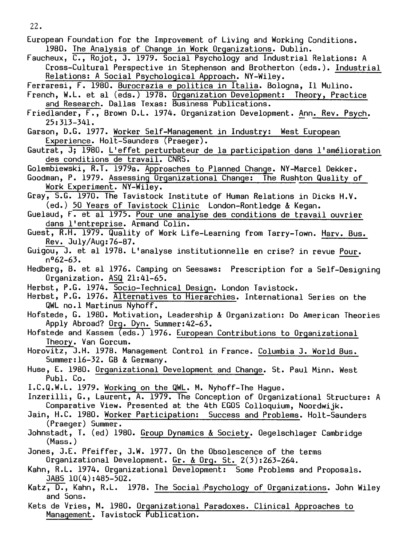22.

- European Foundation for the Improvement of Living and Working Conditions. 1980. The Analysis of Change in Work Organizations. Dublin.
- Faucheux, C., Rojot, J. 1979. Social Psychology and Industrial Relations: A Cross-Cultural Perspective in Stephenson and Brotherton (eds.). Industrial Relations: A Social Psychological Approach. NY-Wiley.
- Ferraresi, F. 1980. Burocrazia e politica in Italia. Bologna, Il Mulino.
- French, W.L. et al (eds.) 1978. Organization Development: Theory, Practice and Research. Dallas Texas: Business Publications.
- Friedlander, F., Brown D.L. 1974. Organization Development. Ann. Rev. Psych. 25:313-341.
- Garson, D.G. 1977. Worker Self-Management in Industry: West European Experience. Holt-Saunders (Praeger).
- Gautrat, J; 1980. L'effet perturbateur de la participation dans l'amélioration des conditions de travail. CNRS.
- Golembiewski, R.T. 1979a. Approaches to Planned Change. NY-Marcel Dekker.
- Goodman, P. 1979. Assessing Organizational Change: The Rushton Quality of Work Experiment. NY-Wiley.
- Gray, S.G. 1970. The Tavistock Institute of Human Relations in Dicks H.V. (ed.) 50 Years of Tavistock Clinic London-Rontledge & Kegan.
- Guelaud, F. et al 1975. Pour une analyse des conditions de travail ouvrier dans l'entreprise. Armand Colin.
- Guest, R.H. 1979. Quality of Work Life-Learning from Tarry-Town. Harv. Bus. Rev. July/Aug:76-87.
- Guigou, J. et al 1978. L'analyse institutionnelle en crise? in revue Pour.  $n^o$ 62-63.
- Hedberg, B. et al 1976. Camping on Seesaws: Prescription for a Self-Designing Organization. ASQ 21:41-65.
- Herbst, P.G. 1974. Socio-Technical Design. London Tavistock.
- Herbst, P.G. 1976. Alternatives to Hierarchies. International Series on the QWL no.l Martinus Nyhoff.
- Hofstede, G. 1980. Motivation, Leadership & Organization: Do American Theories Apply Abroad? Org. Dyn. Summer: 42-63.
- Hofstede and Kassem (eds.) 1976. European Contributions to Organizational Theory. Van Gorcum.
- Horovitz, J.H. 1978. Management Control in France. Columbia J. World Bus. Summer:16-32. GB & Germany.
- Huse, E. 1980. Organizational Development and Change. St. Paul Minn. West Publ. Co.
- I.C.Q.W.L. 1979. Working on the QWL. M. Nyhoff-The Hague.
- Inzerilli, G., Laurent, A. 1979. The Conception of Organizational Structure: A Comparative View. Presented at the 4th EGOS Colloquium, Noordwijk.
- Jain, H.C. 1980. Worker Participation: Success and Problems. Holt-Saunders (Praeger) Summer.
- Johnstadt, T. (ed) 1980. Group Dynamics & Society. Oegelschlager Cambridge (Mass.)
- Jones, J.E. Pfeiffer, J.W. 1977. On the Obsolescence of the terms Organizational Development. Gr. & Org. St. 2(3):263-264.
- Kahn, R.L. 1974. Organizational Development: Some Problems and Proposals. JABS 10(4):485-502.
- Katz,  $\overline{D}$ ., Kahn, R.L. 1978. The Social Psychology of Organizations. John Wiley and Sons.
- Kets de Vries, M. 1980. Organizational Paradoxes. Clinical Approaches to Management. Tavistock Publication.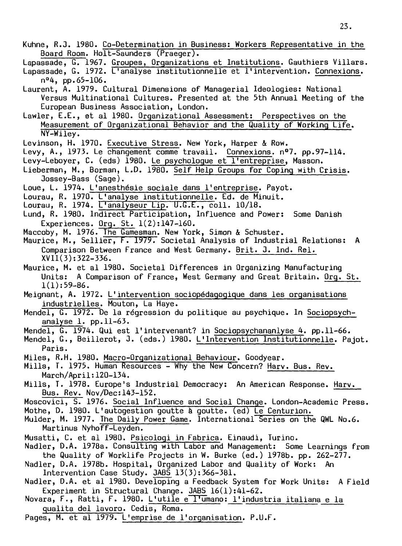Kuhne, R.J. 1980. Co-Determination in Business: Workers Representative in the Board Room. Holt-Saunders (Praeger). Lapassade, G. 1967. Groupes, Organizations et Institutions. Gauthiers Villars. Lapassade, G. 1972. L'analyse institutionnelle et l'intervention. Connexions. n°4, pp.65-106. Laurent, A. 1979. Cultural Dimensions of Managerial Ideologies: National Versus Multinational Cultures. Presented at the 5th Annual Meeting of the European Business Association, London. Lawler, E.E., et al 1980. Organizational Assessment: Perspectives on the Measurement of Organizational Behavior and the Quality of Working Life. NY-Wiley. Levinson, H. 1970. Executive Stress. New York, Harper & Row. Levy, A., 1973. Le changement comme travail. Connexions. n°7. pp.97-114. Levy-Leboyer, C. (eds) 1980. Le psychologue et l'entreprise, Masson. Lieberman, M., Borman, L.D. 1980. Self Help Groups for Coping with Crisis. Jossey-Bass (Sage). Loue, L. 1974. L'anesthésie sociale dans l'entreprise. Payot. Lourau, R. 1970. L'analyse institutionnelle. Ed. de Minuit. Lourau, R. 1974. L'analyseur Lip. U.G.E., coll. 10/18. Lund, R. 1980. Indirect Participation, Influence and Power: Some Danish Experiences. Org. St. 1(2):147-160. Maccoby, M. 1976. The Gamesman. New York, Simon & Schuster. Maurice, M., Sellier, F. 1979. Societal Analysis of Industrial Relations: A Comparison Between France and West Germany. Brit. J. Ind. Rel. XVII(3):322-336. Maurice, M. et al 1980. Societal Differences in Organizing Manufacturing Units: A Comparison of France, West Germany and Great Britain. Org. St.  $1(1):$ 59-86. Meignant, A. 1972. L'intervention sociopédagogique dans les organisations industrielles. Mouton, La Haye. Mendel, G. 1972. De la régression du politique au psychique. In Sociopsychanalyse 1. pp.11-63. Mendel, G. 1974. Qui est l'intervenant? in Sociopsychananlyse 4. pp.11-66. Mendel, G., Beillerot, J. (eds.) 1980. L'Intervention Institutionnelle. Pajot. Paris. Miles, R.H. 1980. Macro-Organizational Behaviour. Goodyear. Mills, T. 1975. Human Resources - Why the New Concern? Harv. Bus. Rev. March/April:120-134. Mills, T. 1978. Europe's Industrial Democracy: An American Response. Harv. Bus. Rev. Nov/Dec:143-l52. Moscovici, S. 1976. Social Influence and Social Change. London-Academic Press. Mothe, D. 1980. L'autogestion goutte à goutte. (ed) Le Centurion. Mulder, M. 1977. The Daily Power Game. International Series on the QWL No.6. Martinus Nyhoff-Leyden. Musatti, C. et al 1980. Psicologi in Fabrica. Einaudi, Turino. Nadler, D.A. 1978a. Consulting with Labor and Management: Some Learnings from the Quality of Worklife Projects in W. Burke (ed.) 1978b. pp. 262-277. Nadler, D.A. 1978b. Hospital, Organized Labor and Quality of Work: An Intervention Case Study. JABS 13(3):366-381. Nadler, D.A. et al 1980. Developing a Feedback System for Work Units: A Field Experiment in Structural Change. JABS 16(1):4l-62. Novara, F., Ratti, F. 1980. L'utile e l'umano: l'industria italiana e la qualita del lavoro. Cedis, Roma. Pages, M. et al 1979. L'emprise de l'organisation. P.U.F.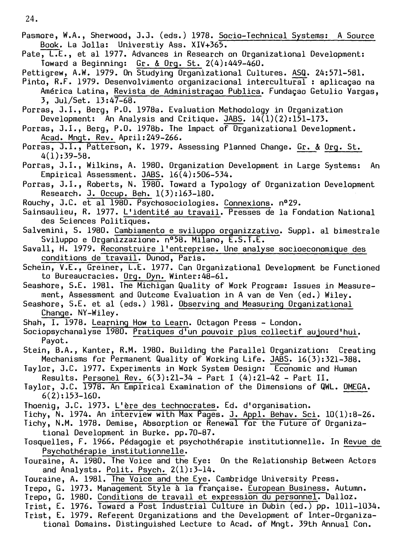24.

- Pasmore, W.A., Sherwood, J.J. (eds.) 1978. Socio-Technical Systems: A Source Book. La Jolla: Universtiy Ass. XIV+365.
- Pate, L.E., et al 1977. Advances in Research on Organizational Development: Toward a Beginning: Gr. & Org. St. 2(4):449-460.
- Pettigrew, A.W. 1979. On Studying Organizational Cultures. ASQ. 24:571-581.
- Pinto, R.F. 1979. Desenvolvimento organizacional intercultural : aplicaçao na América Latina, Revista de Administraçao Publica. Fundaçao Getulio Vargas, 3, Jul/Set. 13:47-68.
- Porras, J.I., Berg, P.O. 1978a. Evaluation Methodology in Organization Development: An Analysis and Critique. JABS. 14(1)(2):151-173.
- Porras, J.I., Berg, P.O. 1978b. The Impact of Organizational Development. Acad. Mngt. Rev. Apri1:249-266.
- Porras, J.I., Patterson, K. 1979. Assessing Planned Change. Gr. & Org. St.  $4(1):39-58.$
- Porras, J.I., Wilkins, A. 1980. Organization Development in Large Systems: An Empirical Assessment. JABS. 16(4):506-534.
- Porras, J.I., Roberts, N. 1980. Toward a Typology of Organization Development Research. J. Occup. Beh. 1(3):163-180.
- Rouchy, J.C. et al 1980. Psychosociologies. Connexions. n°29.
- Sainsaulieu, R. 1977. L'identité au travail. Presses de la Fondation National des Sciences Politiques.
- Salvemini, S. 1980. Cambiamento e sviluppo organizzativo. Suppl. al bimestrale Sviluppo e Organizzazione. n°58. Milano, E.S.T.E.
- Savall, H. 1979. Reconstruire l'entreprise. Une analyse socioeconomique des conditions de travail. Dunod, Paris.
- Schein, V.E., Greiner, L.E. 1977. Can Organizational Development be Functioned to Bureaucracies. Org. Dyn. Winter:48-61.
- Seashore, S.E. 1981. The Michigan Quality of Work Program: Issues in Measurement, Assessment and Outcome Evaluation in A van de Ven (ed.) Wiley.
- Seashore, S.E. et al (eds.) 1981. Observing and Measuring Organizational Change. NY-Wiley.
- Shah, I. 1978. Learning How to Learn. Octagon Press London.
- Sociopsychanalyse 1980. Pratiques d'un pouvoir plus collectif aujourd'hui. Payot.
- Stein, B.A., Kanter, R.M. 1980. Building the Parallel Organization: Creating Mechanisms for Permanent Quality of Working Life. JABS. 16(3):321-388.
- Taylor, J.C. 1977. Experiments in Work System Design: Economic and Human Results. Personel Rev. 6(3):21-34 - Part I (4):21-42 - Part II.
- Taylor, J.C. 1978. An Empirical Examination of the Dimensions of QWL. OMEGA. 6(2):153-160.
- Thoenig, J.C. 1973. L'ère des technocrates. Ed. d'organisation.
- Tichy, N. 1974. An interview with Max Pages. J. Appl. Behav. Sci. 10(1):8-26.
- Tichy, N.M. 1978. Demise, Absorption or Renewal for the Future of Organizational Development in Burke. pp.70-87.
- Tosquelles, F. 1966. Pédagogie et psychothérapie institutionnelle. In Revue de Psychothérapie institutionnelle.
- Touraine, A. 1980. The Voice and the Eye: On the Relationship Between Actors and Analysts. Polit. Psych. 2(1):3-14.
- Touraine, A. 1981. The Voice and the Eye. Cambridge University Press.
- Trepo, G. 1973. Management Style à la française. European Business. Autumn.
- Trepo, G. 1980. Conditions de travail et expression du personnel. Dalloz.
- Trist, E. 1976. Toward a Post Industrial Culture in Dubin (ed.) pp. 1011-1034. Trist, E. 1979. Referent Organizations and the Development of Inter-Organiza-
- tional Domains. Distinguished Lecture to Acad. of Mngt. 39th Annual Con.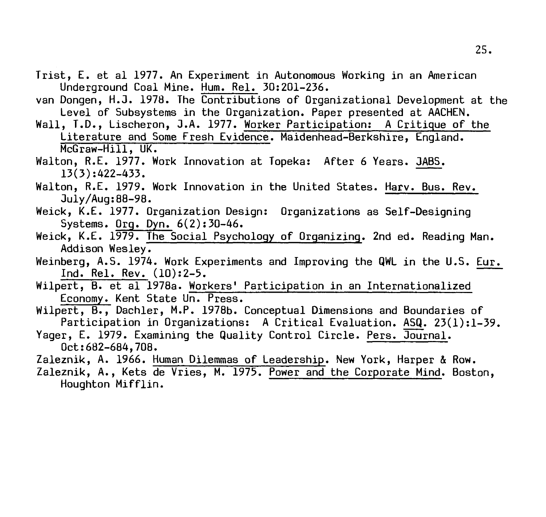- Trist, E. et al 1977. An Experiment in Autonomous Working in an American Underground Coal Mine. Hum. Rel. 30:201-236.
- van Dongen, H.J. 1978. The Contributions of Organizational Development at the Level of Subsystems in the Organization. Paper presented at AACHEN.
- Wall, T.D., Lischeron, J.A. 1977. Worker Participation: A Critique of the Literature and Some Fresh Evidence. Maidenhead-Berkshire, England. McGraw-Hill, UK.
- Walton, R.E. 1977. Work Innovation at Topeka: After 6 Years. JABS. 13(3):422-433.
- Walton, R.E. 1979. Work Innovation in the United States. Harv. Bus. Rev. July/Aug:88-98.
- Weick, K.E. 1977. Organization Design: Organizations as Self-Designing Systems. Org. Dyn. 6(2):30-46.
- Weick, K.E. 1979. The Social Psychology of Organizing. 2nd ed. Reading Man. Addison Wesley.
- Weinberg, A.S. 1974. Work Experiments and Improving the QWL in the U.S. Eur. Ind. Rel. Rev. (10):2-5.
- Wilpert, B. et al 1978a. Workers' Participation in an Internationalized Economy. Kent State Un. Press.
- Wilpert, B., Dachler, M.P. 1978b. Conceptual Dimensions and Boundaries of Participation in Organizations: A Critical Evaluation. ASQ. 23(1):1-39.
- Yager, E. 1979. Examining the Quality Control Circle. Pers. Journal. Oct:682-684,708.
- Zaleznik, A. 1966. Human Dilemmas of Leadership. New York, Harper & Row.
- Zaleznik, A., Kets de Vries, M. 1975. Power and the Corporate Mind. Boston, Houghton Mifflin.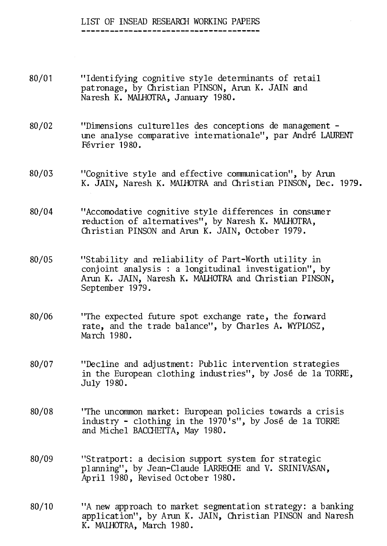#### LIST OF INSEAD RESEARCH WORKING PAPERS

- 80/01 "Identifying cognitive style determinants of retail patronage, by Christian PINSON, Arun K. JAIN and Naresh K. MALHOTRA, January 1980.
- 80/02 "Dimensions culturelles des conceptions de management une analyse comparative internationale", par André LAURENT Février 1980.
- 80/03 "Cognitive style and effective communication", by Arun K. JAIN, Naresh K. MALHOTRA and Christian PINSON, Dec. 1979.
- 80/04 "Accomodative cognitive style differences in consumer reduction of alternatives", by Naresh K. MALHOTRA, Christian PINSON and Arun K. JAIN, October 1979.
- 80/05 "Stability and reliability of Part-Worth utility in conjoint analysis : a longitudinal investigation", by Arun K. JAIN, Naresh K. MALHOTRA and Christian PINSON, September 1979.
- 80/06 "The expected future spot exchange rate, the forward rate, and the trade balance", by Charles A. WYPLOSZ, March 1980.
- 80/07 "Decline and adjustment: Public intervention strategies in the European clothing industries", by José de la TORRE, July 1980.
- 80/08 "The uncommon market: European policies towards a crisis industry - clothing in the 1970's", by José de la TORRE and Michel BACCHETTA, May 1980.
- 80/09 "Stratport: a decision support system for strategic planning", by Jean-Claude LARRECHE and V. SRINIVASAN, April 1980, Revised October 1980.
- 80/10 "A new approach to market segmentation strategy: a banking application", by Arun K. JAIN, Christian PINSON and Naresh K. MALHOTRA, March 1980.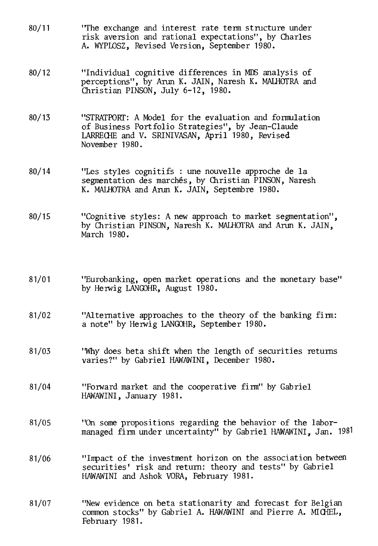- 80/11 The exchange and interest rate term structure under risk aversion and rational expectations", by Charles A. WYPLOSZ, Revised Version, September 1980.
- 80/12 "Individual cognitive differences in MES analysis of perceptions", by Arun K. JAIN, Naresh K. MALHOTRA and Christian PINSON, July 6-12, 1980.
- 80/13 "STRATPORT: A Model for the evaluation and formulation of Business Portfolio Strategies", by Jean-Claude LARRECHE and V. SRINIVASAN, April 1980, Revised November 1980.
- 80/14 "Les styles cognitifs : une nouvelle approche de la segmentation des marchés, by Christian PINSON, Naresh K. MALHOTRA and Arun K. JAIN, Septembre 1980.
- 80/15 "Cognitive styles: A new approach to market segmentation", by Christian PINSON, Naresh K. MALHOTRA and Arun K. JAIN, March 1980.
- 81/01 "Eurobanking, open market operations and the monetary base" by Herwig LANGOHR, August 1980.
- 81/02 "Alternative approaches to the theory of the banking firm: a note" by Herwig LANGOHR, September 1980.
- 81/03 "Why does beta shift when the length of securities returns varies?" by Gabriel HAWAWINI, December 1980.
- $81/04$  "Forward market and the cooperative firm" by Gabriel HAWAWINI, January 1981.
- 81/05 "On some propositions regarding the behavior of the labormanaged firm under uncertainty" by Gabriel HAWAWINI, Jan. 1981
- 81/06 "Impact of the investment horizon on the association between securities' risk and return: theory and tests" by Gabriel HAWAWINI and Ashok VORA, February 1981.
- 81/07 "New evidence on beta stationarity and forecast for Belgian common stocks" by Gabriel A. HAWAWINI and Pierre A. MICHEL, February 1981.